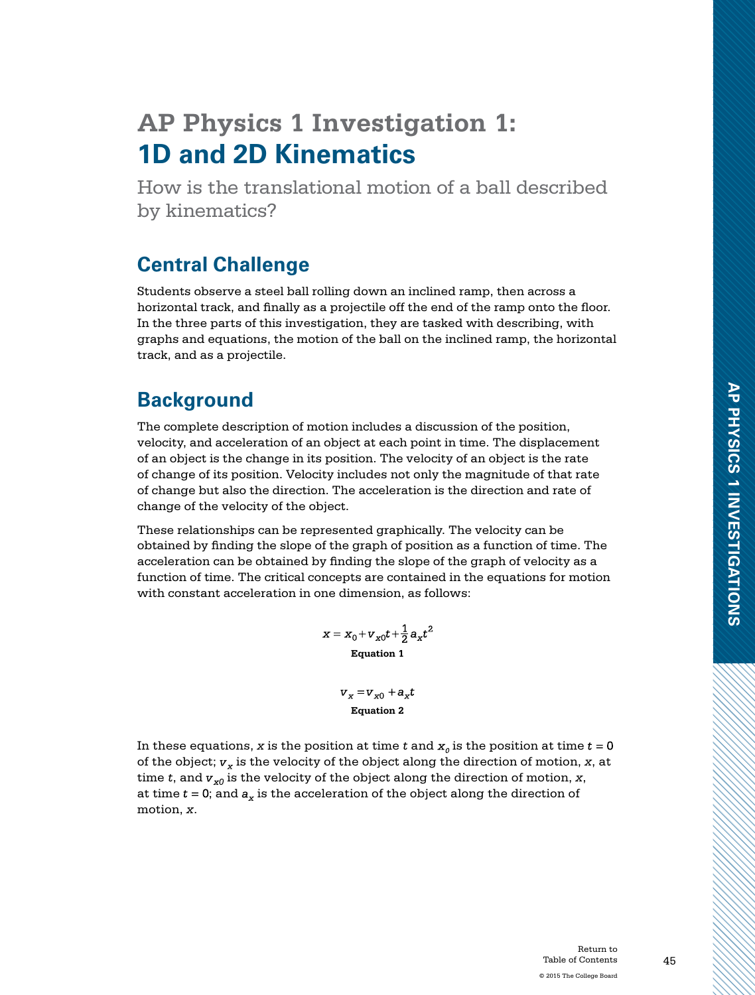# **AP Physics 1 Investigation 1: 1D and 2D Kinematics**

How is the translational motion of a ball described by kinematics?

# **Central Challenge**

Students observe a steel ball rolling down an inclined ramp, then across a horizontal track, and finally as a projectile off the end of the ramp onto the floor. In the three parts of this investigation, they are tasked with describing, with graphs and equations, the motion of the ball on the inclined ramp, the horizontal track, and as a projectile.

# **Background**

The complete description of motion includes a discussion of the position, velocity, and acceleration of an object at each point in time. The displacement of an object is the change in its position. The velocity of an object is the rate of change of its position. Velocity includes not only the magnitude of that rate of change but also the direction. The acceleration is the direction and rate of change of the velocity of the object.

These relationships can be represented graphically. The velocity can be obtained by finding the slope of the graph of position as a function of time. The acceleration can be obtained by finding the slope of the graph of velocity as a function of time. The critical concepts are contained in the equations for motion with constant acceleration in one dimension, as follows:

> $x = x_0 + v_{x0}t + \frac{1}{2}a_xt^2$ **Equation 1**

> > $v_x = v_{x0} + a_x t$ **Equation 2**

In these equations, *x* is the position at time *t* and  $x<sub>0</sub>$  is the position at time  $t = 0$ of the object;  $v_x$  is the velocity of the object along the direction of motion,  $x$ , at time *t*, and  $v_{x0}$  is the velocity of the object along the direction of motion, *x*, at time  $t = 0$ ; and  $a_x$  is the acceleration of the object along the direction of motion, *x*.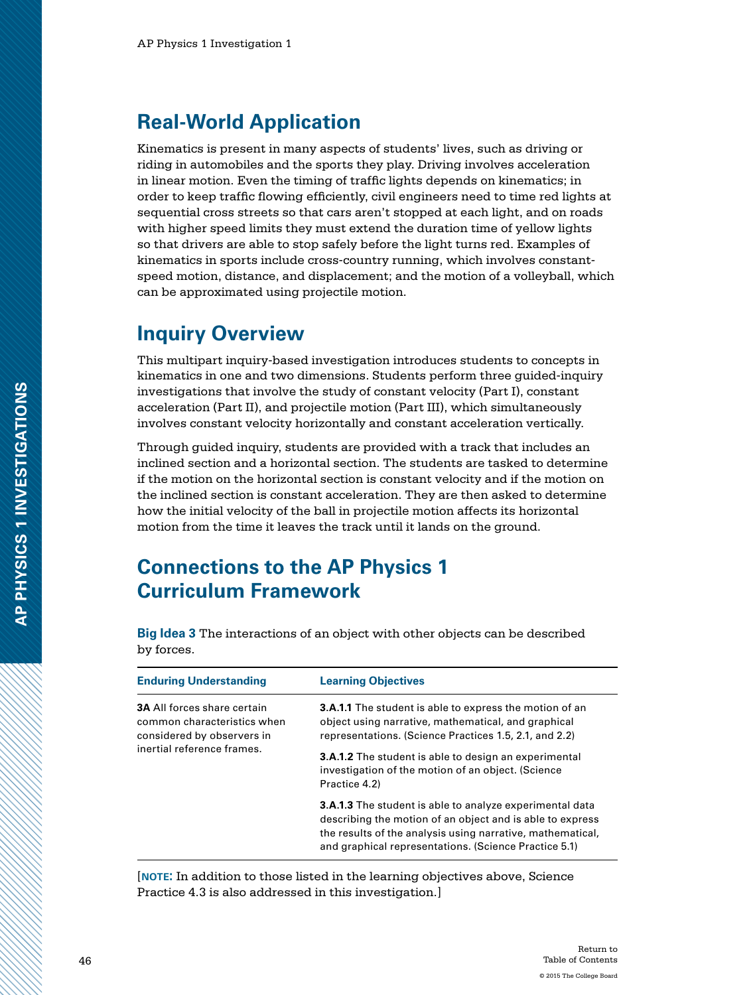## **Real-World Application**

Kinematics is present in many aspects of students' lives, such as driving or riding in automobiles and the sports they play. Driving involves acceleration in linear motion. Even the timing of traffic lights depends on kinematics; in order to keep traffic flowing efficiently, civil engineers need to time red lights at sequential cross streets so that cars aren't stopped at each light, and on roads with higher speed limits they must extend the duration time of yellow lights so that drivers are able to stop safely before the light turns red. Examples of kinematics in sports include cross-country running, which involves constantspeed motion, distance, and displacement; and the motion of a volleyball, which can be approximated using projectile motion.

# **Inquiry Overview**

This multipart inquiry-based investigation introduces students to concepts in kinematics in one and two dimensions. Students perform three guided-inquiry investigations that involve the study of constant velocity (Part I), constant acceleration (Part II), and projectile motion (Part III), which simultaneously involves constant velocity horizontally and constant acceleration vertically.

Through guided inquiry, students are provided with a track that includes an inclined section and a horizontal section. The students are tasked to determine if the motion on the horizontal section is constant velocity and if the motion on the inclined section is constant acceleration. They are then asked to determine how the initial velocity of the ball in projectile motion affects its horizontal motion from the time it leaves the track until it lands on the ground.

### **Connections to the AP Physics 1 Curriculum Framework**

**Big Idea 3** The interactions of an object with other objects can be described by forces.

| <b>Enduring Understanding</b>                                                                                                 | <b>Learning Objectives</b>                                                                                                                                                                                                                          |
|-------------------------------------------------------------------------------------------------------------------------------|-----------------------------------------------------------------------------------------------------------------------------------------------------------------------------------------------------------------------------------------------------|
| <b>3A All forces share certain</b><br>common characteristics when<br>considered by observers in<br>inertial reference frames. | <b>3.A.1.1</b> The student is able to express the motion of an<br>object using narrative, mathematical, and graphical<br>representations. (Science Practices 1.5, 2.1, and 2.2)                                                                     |
|                                                                                                                               | <b>3.A.1.2</b> The student is able to design an experimental<br>investigation of the motion of an object. (Science<br>Practice 4.2)                                                                                                                 |
|                                                                                                                               | <b>3.A.1.3</b> The student is able to analyze experimental data<br>describing the motion of an object and is able to express<br>the results of the analysis using narrative, mathematical,<br>and graphical representations. (Science Practice 5.1) |

[**note:** In addition to those listed in the learning objectives above, Science Practice 4.3 is also addressed in this investigation.]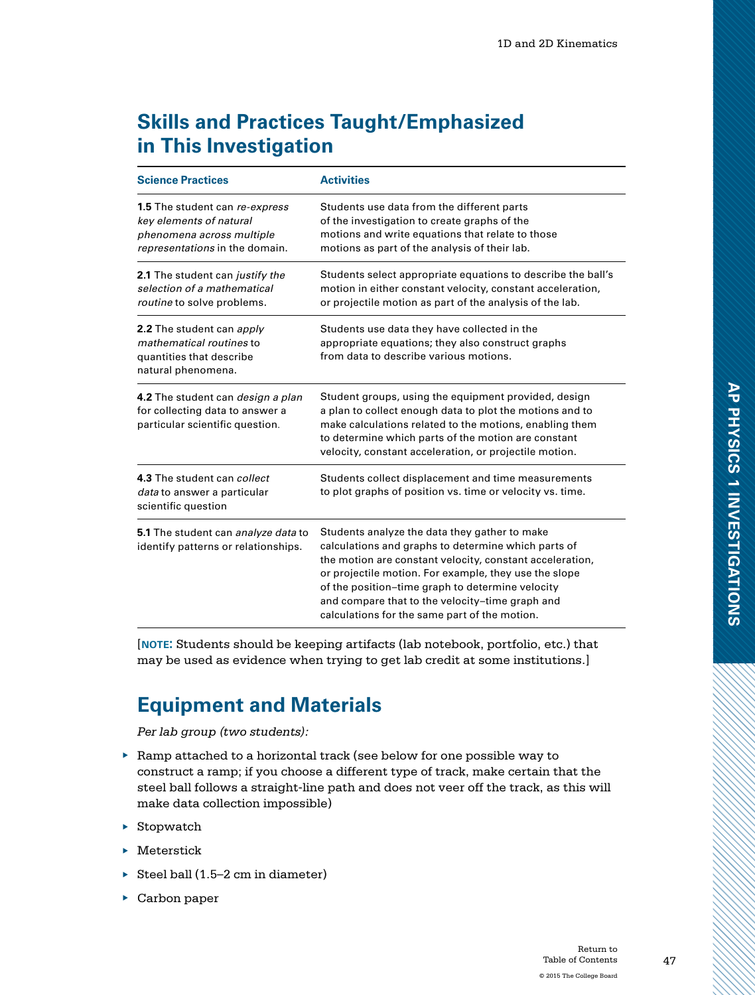# **Skills and Practices Taught/Emphasized in This Investigation**

| <b>Science Practices</b>                                                                                                        | <b>Activities</b>                                                                                                                                                                                                                                                                                                                                                                 |
|---------------------------------------------------------------------------------------------------------------------------------|-----------------------------------------------------------------------------------------------------------------------------------------------------------------------------------------------------------------------------------------------------------------------------------------------------------------------------------------------------------------------------------|
| <b>1.5</b> The student can re-express<br>key elements of natural<br>phenomena across multiple<br>representations in the domain. | Students use data from the different parts<br>of the investigation to create graphs of the<br>motions and write equations that relate to those<br>motions as part of the analysis of their lab.                                                                                                                                                                                   |
| 2.1 The student can justify the<br>selection of a mathematical<br>routine to solve problems.                                    | Students select appropriate equations to describe the ball's<br>motion in either constant velocity, constant acceleration,<br>or projectile motion as part of the analysis of the lab.                                                                                                                                                                                            |
| 2.2 The student can apply<br>mathematical routines to<br>quantities that describe<br>natural phenomena.                         | Students use data they have collected in the<br>appropriate equations; they also construct graphs<br>from data to describe various motions.                                                                                                                                                                                                                                       |
| 4.2 The student can <i>design a plan</i><br>for collecting data to answer a<br>particular scientific question.                  | Student groups, using the equipment provided, design<br>a plan to collect enough data to plot the motions and to<br>make calculations related to the motions, enabling them<br>to determine which parts of the motion are constant<br>velocity, constant acceleration, or projectile motion.                                                                                      |
| 4.3 The student can collect<br>data to answer a particular<br>scientific question                                               | Students collect displacement and time measurements<br>to plot graphs of position vs. time or velocity vs. time.                                                                                                                                                                                                                                                                  |
| 5.1 The student can analyze data to<br>identify patterns or relationships.                                                      | Students analyze the data they gather to make<br>calculations and graphs to determine which parts of<br>the motion are constant velocity, constant acceleration,<br>or projectile motion. For example, they use the slope<br>of the position-time graph to determine velocity<br>and compare that to the velocity-time graph and<br>calculations for the same part of the motion. |

[**note:** Students should be keeping artifacts (lab notebook, portfolio, etc.) that may be used as evidence when trying to get lab credit at some institutions.]

# **Equipment and Materials**

*Per lab group (two students):*

- $\triangleright$  Ramp attached to a horizontal track (see below for one possible way to construct a ramp; if you choose a different type of track, make certain that the steel ball follows a straight-line path and does not veer off the track, as this will make data collection impossible)
- ▶ Stopwatch
- ▶ Meterstick
- $\triangleright$  Steel ball (1.5–2 cm in diameter)
- ▶ Carbon paper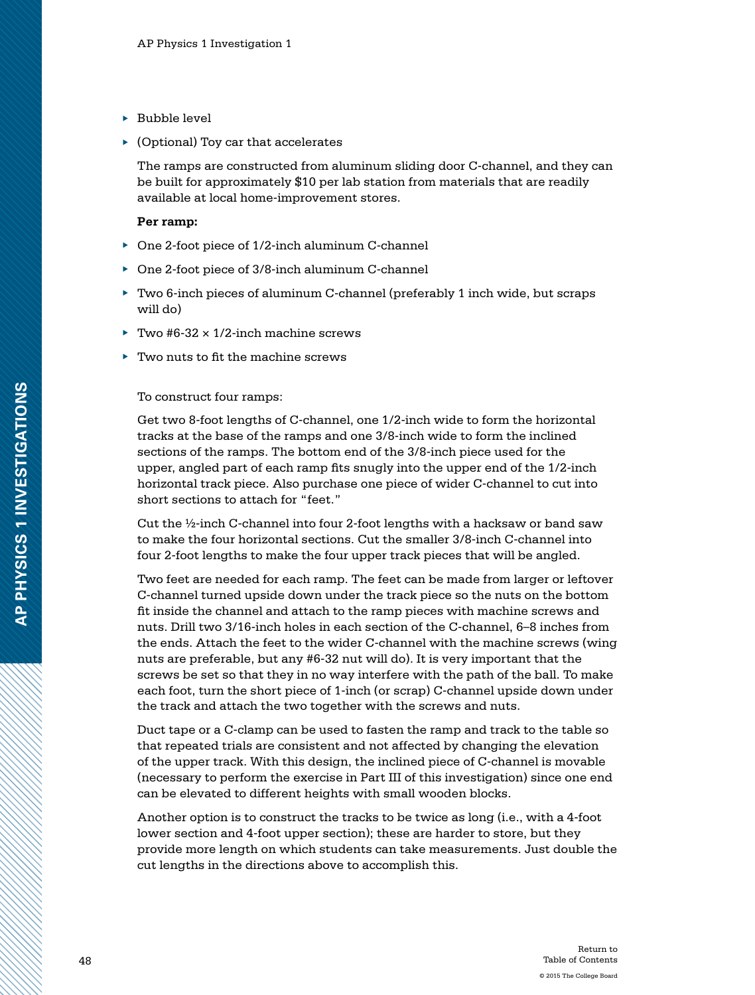- ▶ Bubble level
- ▶ (Optional) Toy car that accelerates

The ramps are constructed from aluminum sliding door C-channel, and they can be built for approximately \$10 per lab station from materials that are readily available at local home-improvement stores.

#### **Per ramp:**

- ▶ One 2-foot piece of 1/2-inch aluminum C-channel
- ▶ One 2-foot piece of 3/8-inch aluminum C-channel
- ▶ Two 6-inch pieces of aluminum C-channel (preferably 1 inch wide, but scraps will do)
- Two  $#6-32 \times 1/2$ -inch machine screws
- ▶ Two nuts to fit the machine screws

To construct four ramps:

Get two 8-foot lengths of C-channel, one 1/2-inch wide to form the horizontal tracks at the base of the ramps and one 3/8-inch wide to form the inclined sections of the ramps. The bottom end of the 3/8-inch piece used for the upper, angled part of each ramp fits snugly into the upper end of the 1/2-inch horizontal track piece. Also purchase one piece of wider C-channel to cut into short sections to attach for "feet."

Cut the ½-inch C-channel into four 2-foot lengths with a hacksaw or band saw to make the four horizontal sections. Cut the smaller 3/8-inch C-channel into four 2-foot lengths to make the four upper track pieces that will be angled.

Two feet are needed for each ramp. The feet can be made from larger or leftover C-channel turned upside down under the track piece so the nuts on the bottom fit inside the channel and attach to the ramp pieces with machine screws and nuts. Drill two 3/16-inch holes in each section of the C-channel, 6–8 inches from the ends. Attach the feet to the wider C-channel with the machine screws (wing nuts are preferable, but any #6-32 nut will do). It is very important that the screws be set so that they in no way interfere with the path of the ball. To make each foot, turn the short piece of 1-inch (or scrap) C-channel upside down under the track and attach the two together with the screws and nuts.

Duct tape or a C-clamp can be used to fasten the ramp and track to the table so that repeated trials are consistent and not affected by changing the elevation of the upper track. With this design, the inclined piece of C-channel is movable (necessary to perform the exercise in Part III of this investigation) since one end can be elevated to different heights with small wooden blocks.

Another option is to construct the tracks to be twice as long (i.e., with a 4-foot lower section and 4-foot upper section); these are harder to store, but they provide more length on which students can take measurements. Just double the cut lengths in the directions above to accomplish this.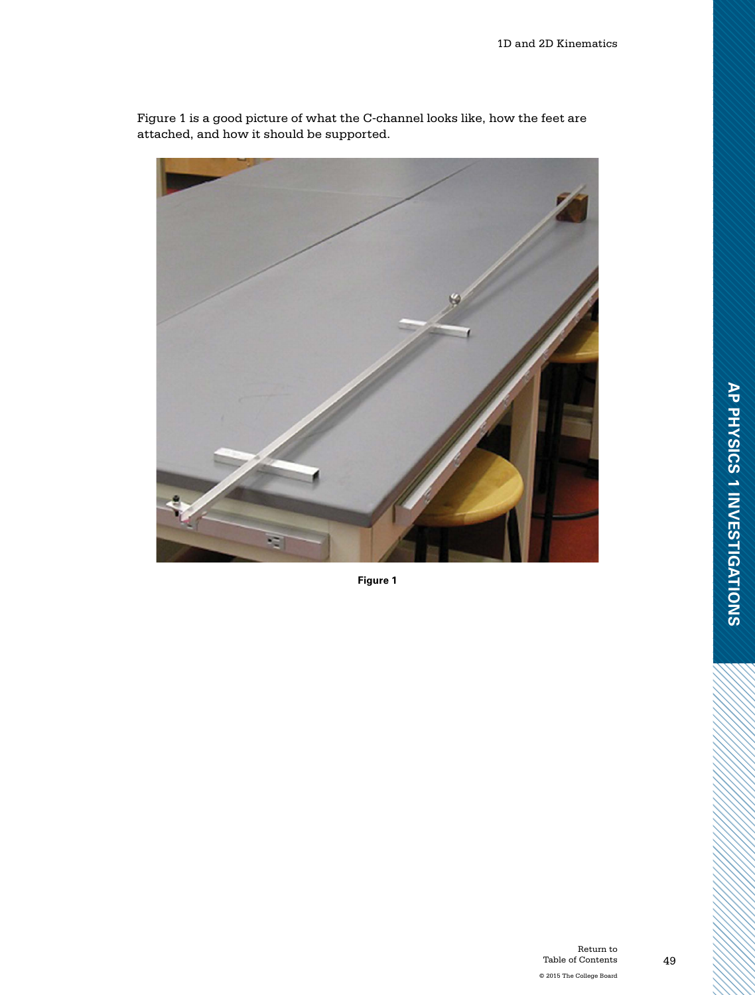

Figure 1 is a good picture of what the C-channel looks like, how the feet are attached, and how it should be supported.

**Figure 1**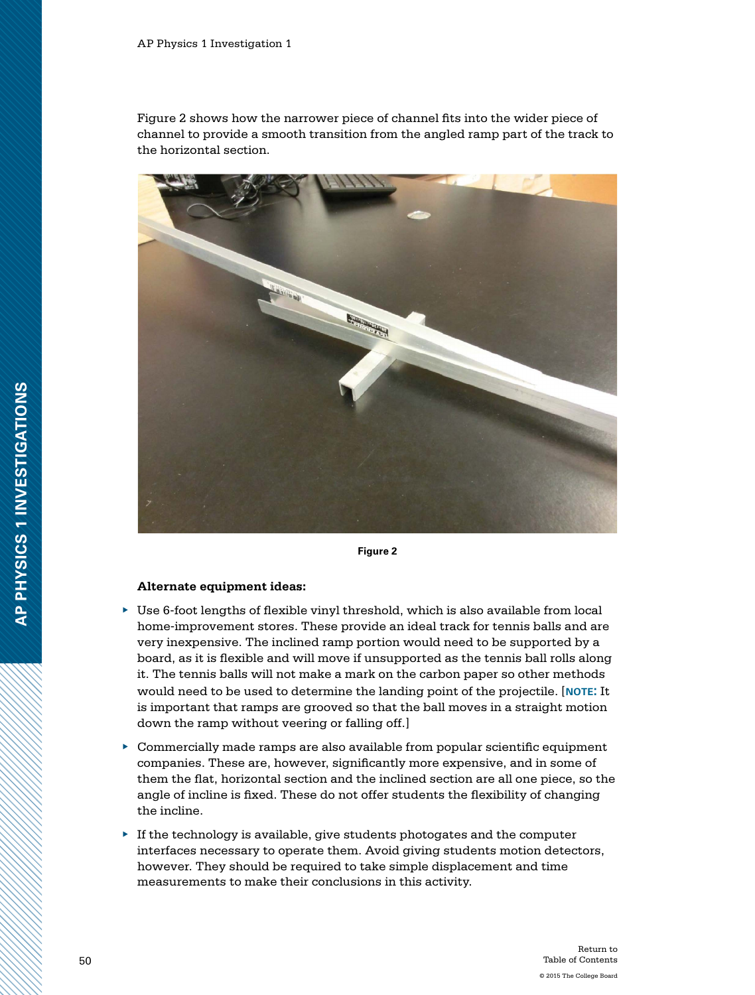Figure 2 shows how the narrower piece of channel fits into the wider piece of channel to provide a smooth transition from the angled ramp part of the track to the horizontal section.



**Figure 2**

#### **Alternate equipment ideas:**

- ▶ Use 6-foot lengths of flexible vinyl threshold, which is also available from local home-improvement stores. These provide an ideal track for tennis balls and are very inexpensive. The inclined ramp portion would need to be supported by a board, as it is flexible and will move if unsupported as the tennis ball rolls along it. The tennis balls will not make a mark on the carbon paper so other methods would need to be used to determine the landing point of the projectile. [**note:** It is important that ramps are grooved so that the ball moves in a straight motion down the ramp without veering or falling off.]
- ▶ Commercially made ramps are also available from popular scientific equipment companies. These are, however, significantly more expensive, and in some of them the flat, horizontal section and the inclined section are all one piece, so the angle of incline is fixed. These do not offer students the flexibility of changing the incline.
- $\blacktriangleright$  If the technology is available, give students photogates and the computer interfaces necessary to operate them. Avoid giving students motion detectors, however. They should be required to take simple displacement and time measurements to make their conclusions in this activity.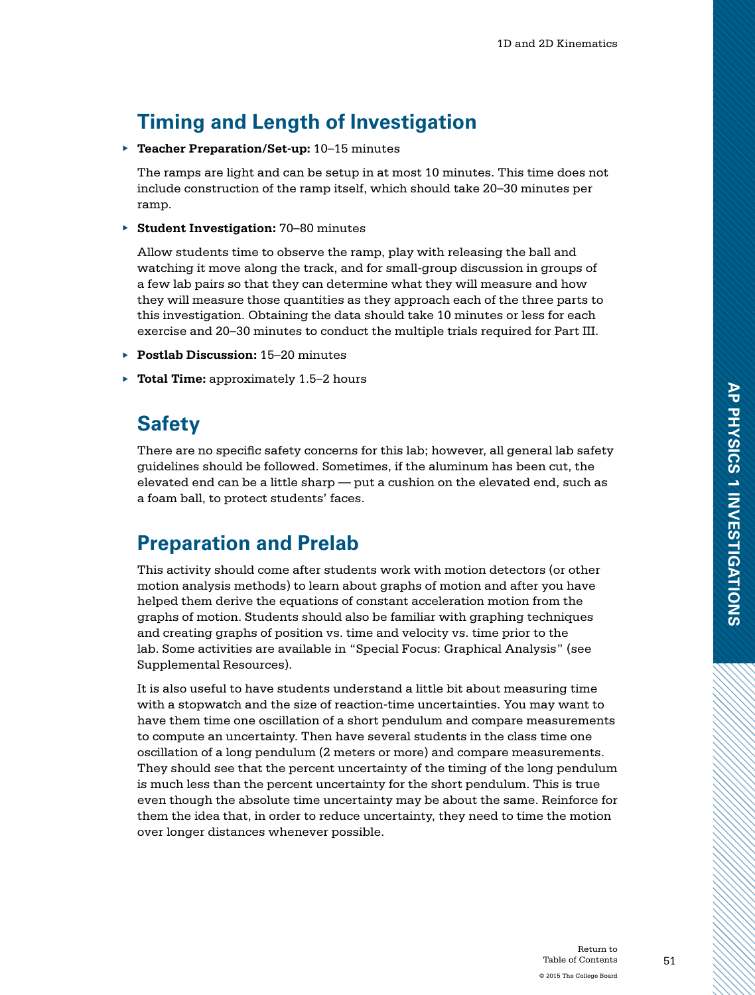# **Timing and Length of Investigation**

▶ **Teacher Preparation/Set-up:** 10–15 minutes

The ramps are light and can be setup in at most 10 minutes. This time does not include construction of the ramp itself, which should take 20–30 minutes per ramp.

▶ **Student Investigation:** 70–80 minutes

Allow students time to observe the ramp, play with releasing the ball and watching it move along the track, and for small-group discussion in groups of a few lab pairs so that they can determine what they will measure and how they will measure those quantities as they approach each of the three parts to this investigation. Obtaining the data should take 10 minutes or less for each exercise and 20–30 minutes to conduct the multiple trials required for Part III.

- ▶ **Postlab Discussion:** 15–20 minutes
- ▶ **Total Time:** approximately 1.5–2 hours

### **Safety**

There are no specific safety concerns for this lab; however, all general lab safety guidelines should be followed. Sometimes, if the aluminum has been cut, the elevated end can be a little sharp — put a cushion on the elevated end, such as a foam ball, to protect students' faces.

### **Preparation and Prelab**

This activity should come after students work with motion detectors (or other motion analysis methods) to learn about graphs of motion and after you have helped them derive the equations of constant acceleration motion from the graphs of motion. Students should also be familiar with graphing techniques and creating graphs of position vs. time and velocity vs. time prior to the lab. Some activities are available in "Special Focus: Graphical Analysis" (see Supplemental Resources).

It is also useful to have students understand a little bit about measuring time with a stopwatch and the size of reaction-time uncertainties. You may want to have them time one oscillation of a short pendulum and compare measurements to compute an uncertainty. Then have several students in the class time one oscillation of a long pendulum (2 meters or more) and compare measurements. They should see that the percent uncertainty of the timing of the long pendulum is much less than the percent uncertainty for the short pendulum. This is true even though the absolute time uncertainty may be about the same. Reinforce for them the idea that, in order to reduce uncertainty, they need to time the motion over longer distances whenever possible.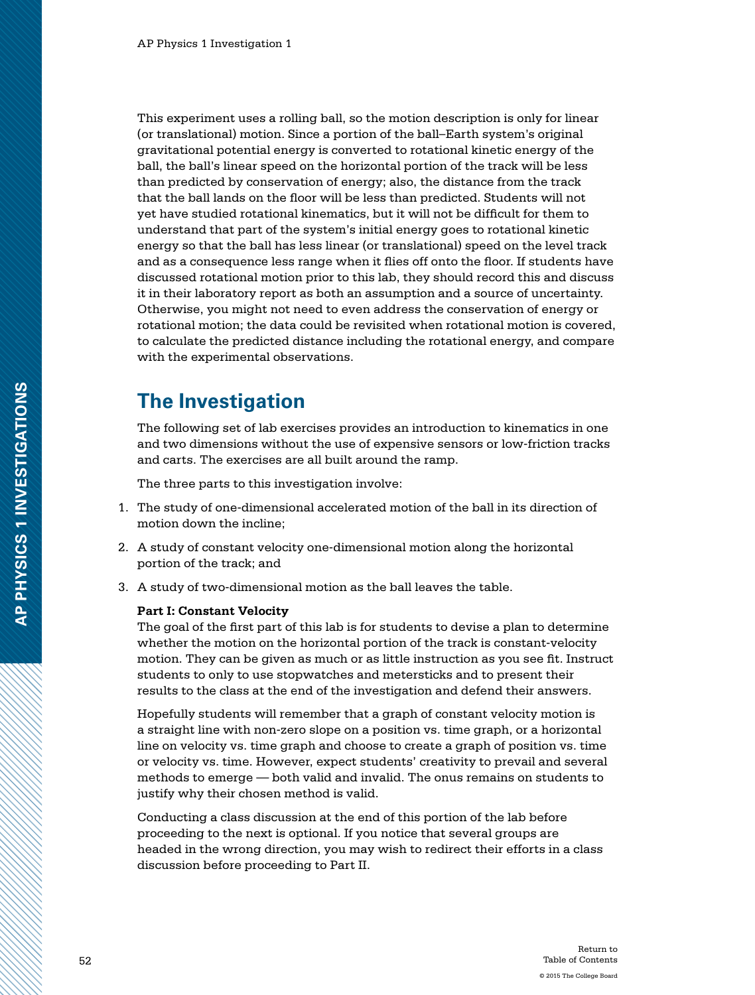This experiment uses a rolling ball, so the motion description is only for linear (or translational) motion. Since a portion of the ball–Earth system's original gravitational potential energy is converted to rotational kinetic energy of the ball, the ball's linear speed on the horizontal portion of the track will be less than predicted by conservation of energy; also, the distance from the track that the ball lands on the floor will be less than predicted. Students will not yet have studied rotational kinematics, but it will not be difficult for them to understand that part of the system's initial energy goes to rotational kinetic energy so that the ball has less linear (or translational) speed on the level track and as a consequence less range when it flies off onto the floor. If students have discussed rotational motion prior to this lab, they should record this and discuss it in their laboratory report as both an assumption and a source of uncertainty. Otherwise, you might not need to even address the conservation of energy or rotational motion; the data could be revisited when rotational motion is covered, to calculate the predicted distance including the rotational energy, and compare with the experimental observations.

### **The Investigation**

The following set of lab exercises provides an introduction to kinematics in one and two dimensions without the use of expensive sensors or low-friction tracks and carts. The exercises are all built around the ramp.

The three parts to this investigation involve:

- 1. The study of one-dimensional accelerated motion of the ball in its direction of motion down the incline;
- 2. A study of constant velocity one-dimensional motion along the horizontal portion of the track; and
- 3. A study of two-dimensional motion as the ball leaves the table.

#### **Part I: Constant Velocity**

The goal of the first part of this lab is for students to devise a plan to determine whether the motion on the horizontal portion of the track is constant-velocity motion. They can be given as much or as little instruction as you see fit. Instruct students to only to use stopwatches and metersticks and to present their results to the class at the end of the investigation and defend their answers.

Hopefully students will remember that a graph of constant velocity motion is a straight line with non-zero slope on a position vs. time graph, or a horizontal line on velocity vs. time graph and choose to create a graph of position vs. time or velocity vs. time. However, expect students' creativity to prevail and several methods to emerge — both valid and invalid. The onus remains on students to justify why their chosen method is valid.

Conducting a class discussion at the end of this portion of the lab before proceeding to the next is optional. If you notice that several groups are headed in the wrong direction, you may wish to redirect their efforts in a class discussion before proceeding to Part II.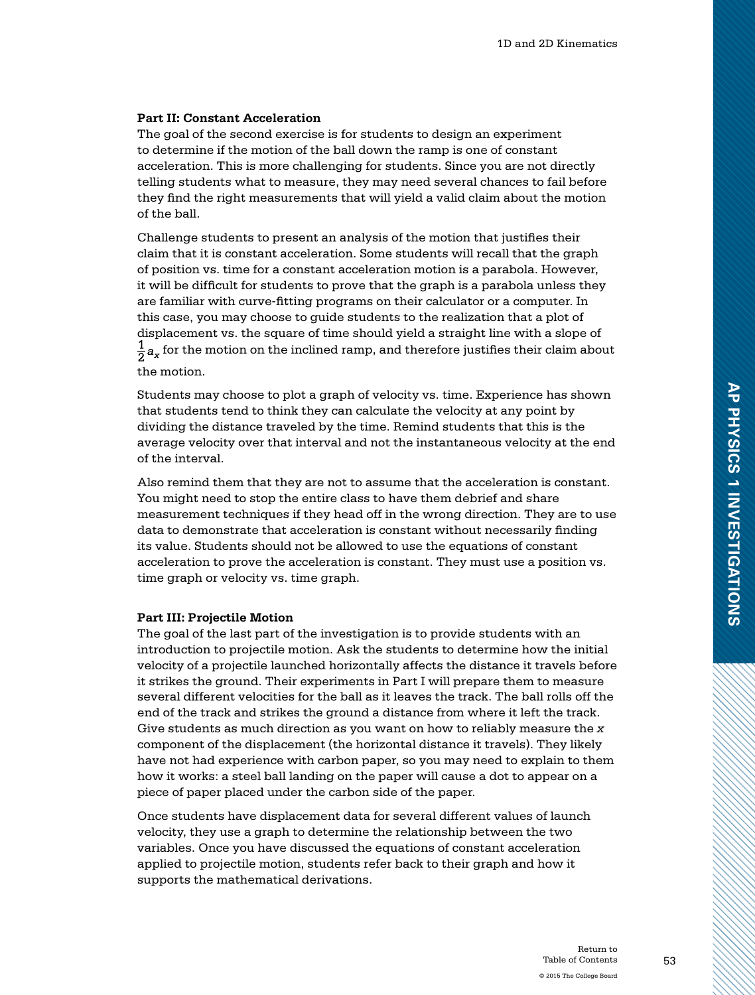#### **Part II: Constant Acceleration**

The goal of the second exercise is for students to design an experiment to determine if the motion of the ball down the ramp is one of constant acceleration. This is more challenging for students. Since you are not directly telling students what to measure, they may need several chances to fail before they find the right measurements that will yield a valid claim about the motion of the ball.

Challenge students to present an analysis of the motion that justifies their claim that it is constant acceleration. Some students will recall that the graph of position vs. time for a constant acceleration motion is a parabola. However, it will be difficult for students to prove that the graph is a parabola unless they are familiar with curve-fitting programs on their calculator or a computer. In this case, you may choose to guide students to the realization that a plot of displacement vs. the square of time should yield a straight line with a slope of  $\frac{1}{2}a_x$  for the motion on the inclined ramp, and therefore justifies their claim about the motion.

Students may choose to plot a graph of velocity vs. time. Experience has shown that students tend to think they can calculate the velocity at any point by dividing the distance traveled by the time. Remind students that this is the average velocity over that interval and not the instantaneous velocity at the end of the interval.

Also remind them that they are not to assume that the acceleration is constant. You might need to stop the entire class to have them debrief and share measurement techniques if they head off in the wrong direction. They are to use data to demonstrate that acceleration is constant without necessarily finding its value. Students should not be allowed to use the equations of constant acceleration to prove the acceleration is constant. They must use a position vs. time graph or velocity vs. time graph.

#### **Part III: Projectile Motion**

The goal of the last part of the investigation is to provide students with an introduction to projectile motion. Ask the students to determine how the initial velocity of a projectile launched horizontally affects the distance it travels before it strikes the ground. Their experiments in Part I will prepare them to measure several different velocities for the ball as it leaves the track. The ball rolls off the end of the track and strikes the ground a distance from where it left the track. Give students as much direction as you want on how to reliably measure the *x* component of the displacement (the horizontal distance it travels). They likely have not had experience with carbon paper, so you may need to explain to them how it works: a steel ball landing on the paper will cause a dot to appear on a piece of paper placed under the carbon side of the paper.

Once students have displacement data for several different values of launch velocity, they use a graph to determine the relationship between the two variables. Once you have discussed the equations of constant acceleration applied to projectile motion, students refer back to their graph and how it supports the mathematical derivations.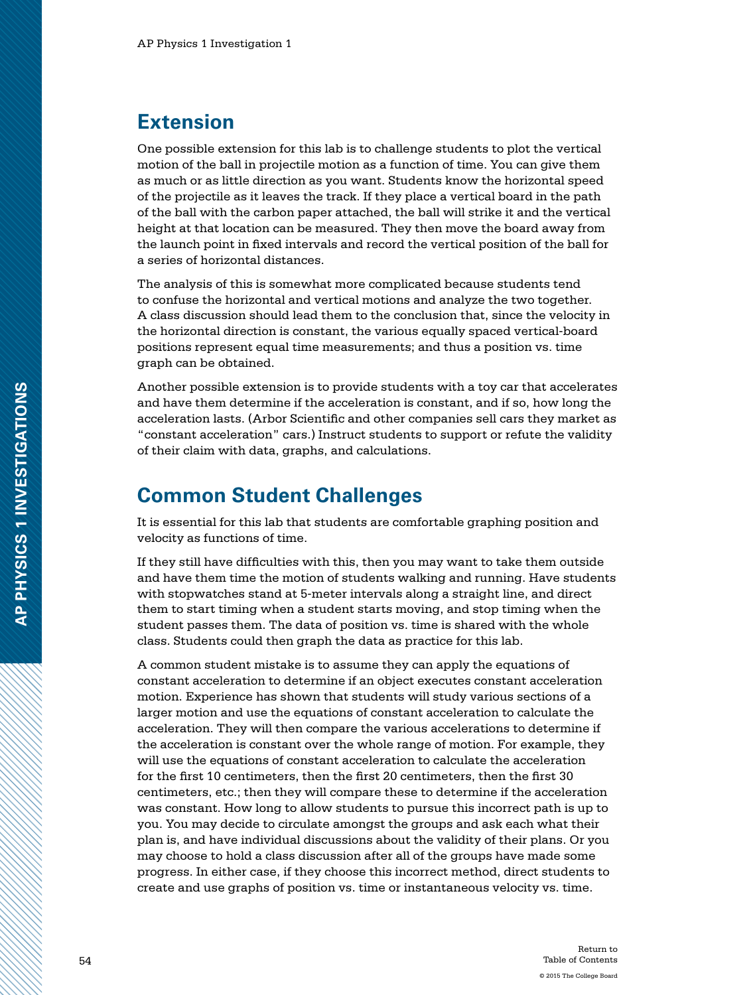### **Extension**

One possible extension for this lab is to challenge students to plot the vertical motion of the ball in projectile motion as a function of time. You can give them as much or as little direction as you want. Students know the horizontal speed of the projectile as it leaves the track. If they place a vertical board in the path of the ball with the carbon paper attached, the ball will strike it and the vertical height at that location can be measured. They then move the board away from the launch point in fixed intervals and record the vertical position of the ball for a series of horizontal distances.

The analysis of this is somewhat more complicated because students tend to confuse the horizontal and vertical motions and analyze the two together. A class discussion should lead them to the conclusion that, since the velocity in the horizontal direction is constant, the various equally spaced vertical-board positions represent equal time measurements; and thus a position vs. time graph can be obtained.

Another possible extension is to provide students with a toy car that accelerates and have them determine if the acceleration is constant, and if so, how long the acceleration lasts. (Arbor Scientific and other companies sell cars they market as "constant acceleration" cars.) Instruct students to support or refute the validity of their claim with data, graphs, and calculations.

### **Common Student Challenges**

It is essential for this lab that students are comfortable graphing position and velocity as functions of time.

If they still have difficulties with this, then you may want to take them outside and have them time the motion of students walking and running. Have students with stopwatches stand at 5-meter intervals along a straight line, and direct them to start timing when a student starts moving, and stop timing when the student passes them. The data of position vs. time is shared with the whole class. Students could then graph the data as practice for this lab.

A common student mistake is to assume they can apply the equations of constant acceleration to determine if an object executes constant acceleration motion. Experience has shown that students will study various sections of a larger motion and use the equations of constant acceleration to calculate the acceleration. They will then compare the various accelerations to determine if the acceleration is constant over the whole range of motion. For example, they will use the equations of constant acceleration to calculate the acceleration for the first 10 centimeters, then the first 20 centimeters, then the first 30 centimeters, etc.; then they will compare these to determine if the acceleration was constant. How long to allow students to pursue this incorrect path is up to you. You may decide to circulate amongst the groups and ask each what their plan is, and have individual discussions about the validity of their plans. Or you may choose to hold a class discussion after all of the groups have made some progress. In either case, if they choose this incorrect method, direct students to create and use graphs of position vs. time or instantaneous velocity vs. time.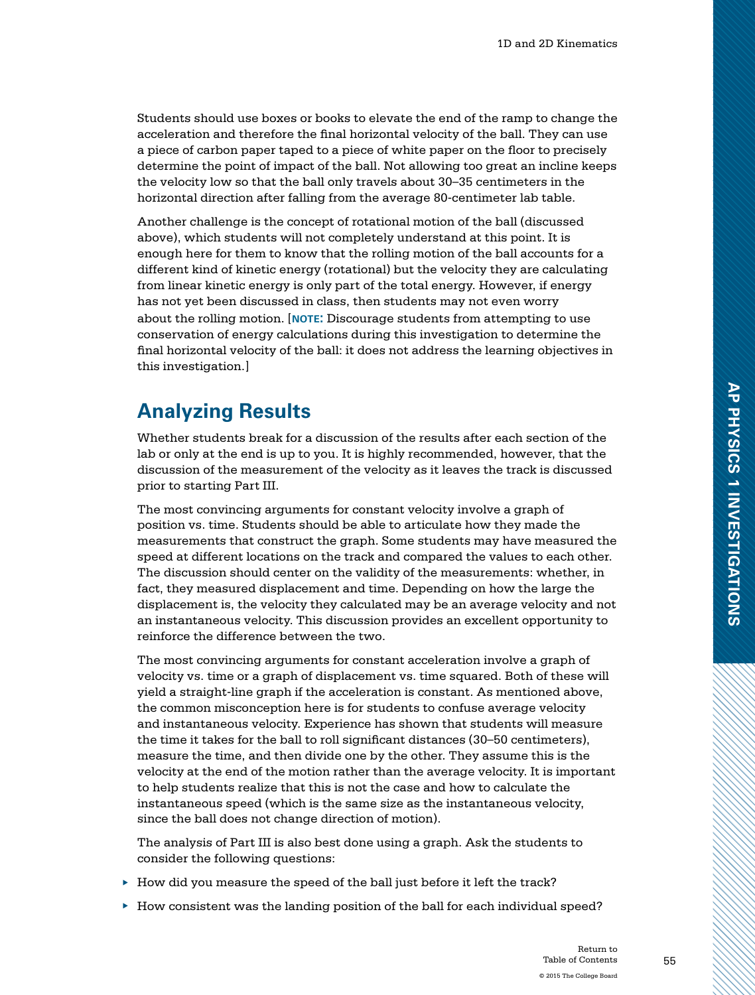Students should use boxes or books to elevate the end of the ramp to change the acceleration and therefore the final horizontal velocity of the ball. They can use a piece of carbon paper taped to a piece of white paper on the floor to precisely determine the point of impact of the ball. Not allowing too great an incline keeps the velocity low so that the ball only travels about 30–35 centimeters in the horizontal direction after falling from the average 80-centimeter lab table.

Another challenge is the concept of rotational motion of the ball (discussed above), which students will not completely understand at this point. It is enough here for them to know that the rolling motion of the ball accounts for a different kind of kinetic energy (rotational) but the velocity they are calculating from linear kinetic energy is only part of the total energy. However, if energy has not yet been discussed in class, then students may not even worry about the rolling motion. [**note:** Discourage students from attempting to use conservation of energy calculations during this investigation to determine the final horizontal velocity of the ball: it does not address the learning objectives in this investigation.]

# **Analyzing Results**

Whether students break for a discussion of the results after each section of the lab or only at the end is up to you. It is highly recommended, however, that the discussion of the measurement of the velocity as it leaves the track is discussed prior to starting Part III.

The most convincing arguments for constant velocity involve a graph of position vs. time. Students should be able to articulate how they made the measurements that construct the graph. Some students may have measured the speed at different locations on the track and compared the values to each other. The discussion should center on the validity of the measurements: whether, in fact, they measured displacement and time. Depending on how the large the displacement is, the velocity they calculated may be an average velocity and not an instantaneous velocity. This discussion provides an excellent opportunity to reinforce the difference between the two.

The most convincing arguments for constant acceleration involve a graph of velocity vs. time or a graph of displacement vs. time squared. Both of these will yield a straight-line graph if the acceleration is constant. As mentioned above, the common misconception here is for students to confuse average velocity and instantaneous velocity. Experience has shown that students will measure the time it takes for the ball to roll significant distances (30–50 centimeters), measure the time, and then divide one by the other. They assume this is the velocity at the end of the motion rather than the average velocity. It is important to help students realize that this is not the case and how to calculate the instantaneous speed (which is the same size as the instantaneous velocity, since the ball does not change direction of motion).

The analysis of Part III is also best done using a graph. Ask the students to consider the following questions:

- $\blacktriangleright$  How did you measure the speed of the ball just before it left the track?
- ▶ How consistent was the landing position of the ball for each individual speed?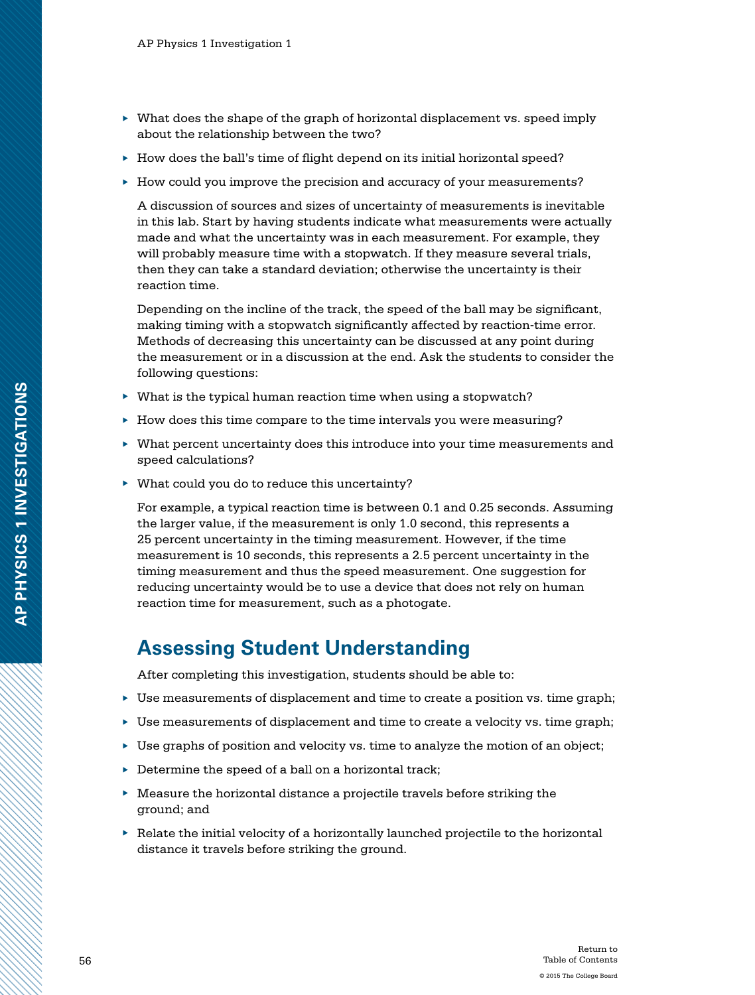- ▶ What does the shape of the graph of horizontal displacement vs. speed imply about the relationship between the two?
- ▶ How does the ball's time of flight depend on its initial horizontal speed?
- ▶ How could you improve the precision and accuracy of your measurements?

A discussion of sources and sizes of uncertainty of measurements is inevitable in this lab. Start by having students indicate what measurements were actually made and what the uncertainty was in each measurement. For example, they will probably measure time with a stopwatch. If they measure several trials, then they can take a standard deviation; otherwise the uncertainty is their reaction time.

Depending on the incline of the track, the speed of the ball may be significant, making timing with a stopwatch significantly affected by reaction-time error. Methods of decreasing this uncertainty can be discussed at any point during the measurement or in a discussion at the end. Ask the students to consider the following questions:

- $\blacktriangleright$  What is the typical human reaction time when using a stopwatch?
- ▶ How does this time compare to the time intervals you were measuring?
- ▶ What percent uncertainty does this introduce into your time measurements and speed calculations?
- ▶ What could you do to reduce this uncertainty?

For example, a typical reaction time is between 0.1 and 0.25 seconds. Assuming the larger value, if the measurement is only 1.0 second, this represents a 25 percent uncertainty in the timing measurement. However, if the time measurement is 10 seconds, this represents a 2.5 percent uncertainty in the timing measurement and thus the speed measurement. One suggestion for reducing uncertainty would be to use a device that does not rely on human reaction time for measurement, such as a photogate.

#### **Assessing Student Understanding**

After completing this investigation, students should be able to:

- ▶ Use measurements of displacement and time to create a position vs. time graph;
- ▶ Use measurements of displacement and time to create a velocity vs. time graph;
- ▶ Use graphs of position and velocity vs. time to analyze the motion of an object;
- $\triangleright$  Determine the speed of a ball on a horizontal track;
- ▶ Measure the horizontal distance a projectile travels before striking the ground; and
- $\blacktriangleright$  Relate the initial velocity of a horizontally launched projectile to the horizontal distance it travels before striking the ground.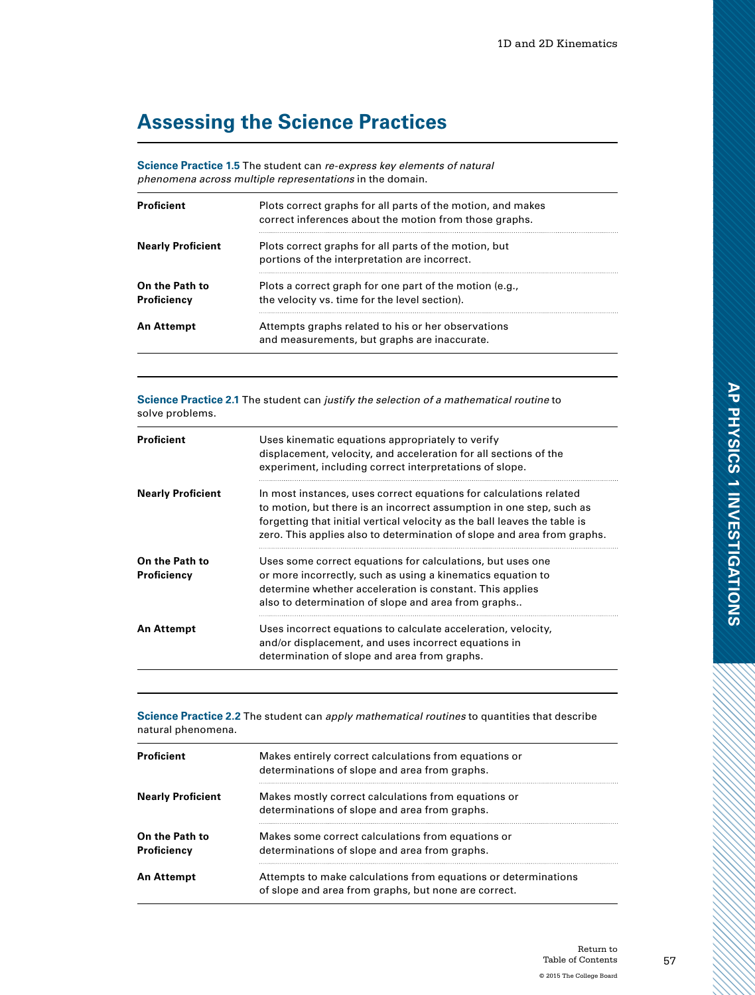# **Assessing the Science Practices**

**Science Practice 1.5** The student can *re-express key elements of natural phenomena across multiple representations* in the domain.

| <b>Proficient</b>             | Plots correct graphs for all parts of the motion, and makes<br>correct inferences about the motion from those graphs. |
|-------------------------------|-----------------------------------------------------------------------------------------------------------------------|
| <b>Nearly Proficient</b>      | Plots correct graphs for all parts of the motion, but<br>portions of the interpretation are incorrect.                |
| On the Path to<br>Proficiency | Plots a correct graph for one part of the motion (e.g.,<br>the velocity vs. time for the level section).              |
| <b>An Attempt</b>             | Attempts graphs related to his or her observations<br>and measurements, but graphs are inaccurate.                    |

**Science Practice 2.1** The student can *justify the selection of a mathematical routine* to solve problems.

| <b>Proficient</b>             | Uses kinematic equations appropriately to verify<br>displacement, velocity, and acceleration for all sections of the<br>experiment, including correct interpretations of slope.                                                                                                                    |
|-------------------------------|----------------------------------------------------------------------------------------------------------------------------------------------------------------------------------------------------------------------------------------------------------------------------------------------------|
| <b>Nearly Proficient</b>      | In most instances, uses correct equations for calculations related<br>to motion, but there is an incorrect assumption in one step, such as<br>forgetting that initial vertical velocity as the ball leaves the table is<br>zero. This applies also to determination of slope and area from graphs. |
| On the Path to<br>Proficiency | Uses some correct equations for calculations, but uses one<br>or more incorrectly, such as using a kinematics equation to<br>determine whether acceleration is constant. This applies<br>also to determination of slope and area from graphs                                                       |
| <b>An Attempt</b>             | Uses incorrect equations to calculate acceleration, velocity,<br>and/or displacement, and uses incorrect equations in<br>determination of slope and area from graphs.                                                                                                                              |

**Science Practice 2.2** The student can *apply mathematical routines* to quantities that describe natural phenomena.

| <b>Proficient</b>             | Makes entirely correct calculations from equations or<br>determinations of slope and area from graphs.                 |
|-------------------------------|------------------------------------------------------------------------------------------------------------------------|
| <b>Nearly Proficient</b>      | Makes mostly correct calculations from equations or<br>determinations of slope and area from graphs.                   |
| On the Path to<br>Proficiency | Makes some correct calculations from equations or<br>determinations of slope and area from graphs.                     |
| An Attempt                    | Attempts to make calculations from equations or determinations<br>of slope and area from graphs, but none are correct. |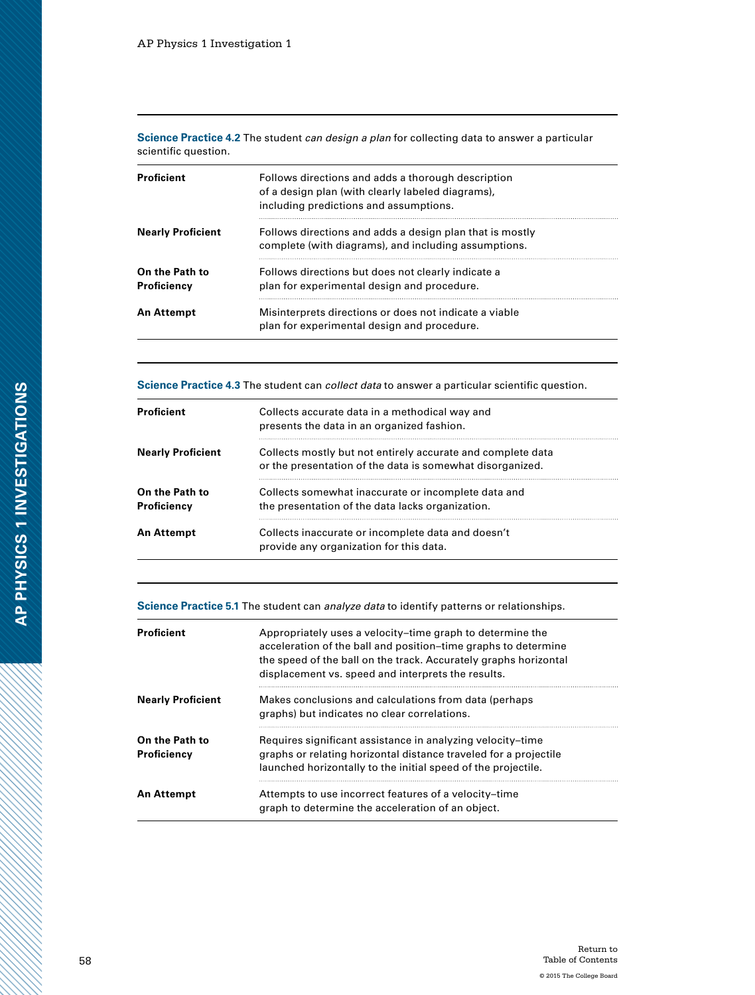**Science Practice 4.2** The student *can design a plan* for collecting data to answer a particular scientific question.

| <b>Proficient</b>             | Follows directions and adds a thorough description<br>of a design plan (with clearly labeled diagrams),<br>including predictions and assumptions. |  |
|-------------------------------|---------------------------------------------------------------------------------------------------------------------------------------------------|--|
| <b>Nearly Proficient</b>      | Follows directions and adds a design plan that is mostly<br>complete (with diagrams), and including assumptions.                                  |  |
| On the Path to<br>Proficiency | Follows directions but does not clearly indicate a<br>plan for experimental design and procedure.                                                 |  |
| An Attempt                    | Misinterprets directions or does not indicate a viable<br>plan for experimental design and procedure.                                             |  |

**Science Practice 4.3** The student can *collect data* to answer a particular scientific question.

| <b>Proficient</b>             | Collects accurate data in a methodical way and<br>presents the data in an organized fashion.                             |  |
|-------------------------------|--------------------------------------------------------------------------------------------------------------------------|--|
| <b>Nearly Proficient</b>      | Collects mostly but not entirely accurate and complete data<br>or the presentation of the data is somewhat disorganized. |  |
| On the Path to<br>Proficiency | Collects somewhat inaccurate or incomplete data and<br>the presentation of the data lacks organization.                  |  |
| <b>An Attempt</b>             | Collects inaccurate or incomplete data and doesn't<br>provide any organization for this data.                            |  |

**Science Practice 5.1** The student can *analyze data* to identify patterns or relationships.

| <b>Proficient</b>             | Appropriately uses a velocity-time graph to determine the<br>acceleration of the ball and position–time graphs to determine<br>the speed of the ball on the track. Accurately graphs horizontal<br>displacement vs. speed and interprets the results. |
|-------------------------------|-------------------------------------------------------------------------------------------------------------------------------------------------------------------------------------------------------------------------------------------------------|
| <b>Nearly Proficient</b>      | Makes conclusions and calculations from data (perhaps<br>graphs) but indicates no clear correlations.                                                                                                                                                 |
| On the Path to<br>Proficiency | Requires significant assistance in analyzing velocity-time<br>graphs or relating horizontal distance traveled for a projectile<br>launched horizontally to the initial speed of the projectile.                                                       |
| An Attempt                    | Attempts to use incorrect features of a velocity-time<br>graph to determine the acceleration of an object.                                                                                                                                            |

a dhe ann an 1970